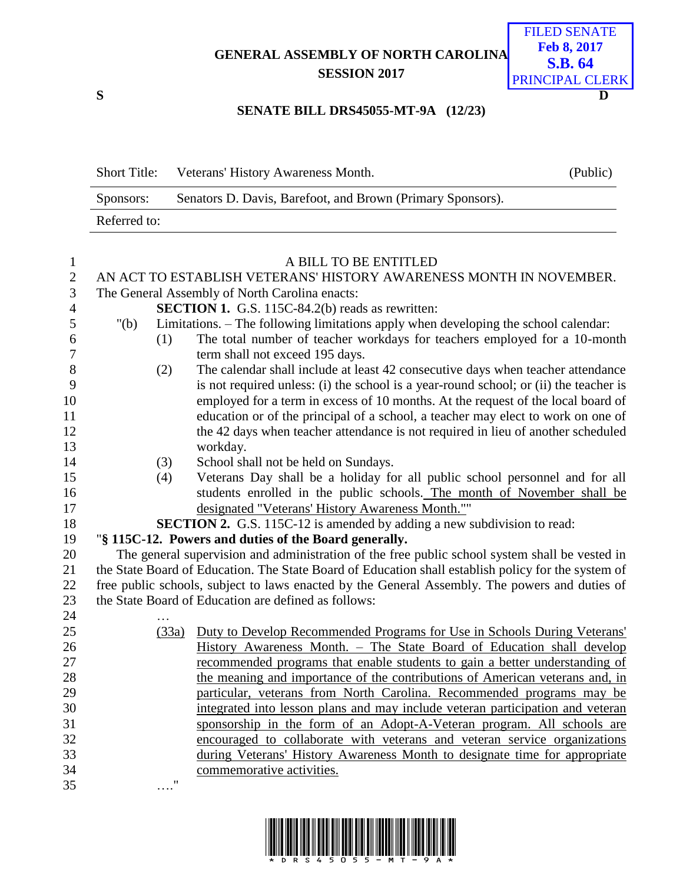**GENERAL ASSEMBLY OF NORTH CAROLINA SESSION 2017**



## **SENATE BILL DRS45055-MT-9A (12/23)**

| <b>Short Title:</b> | Veterans' History Awareness Month.                         | (Public) |
|---------------------|------------------------------------------------------------|----------|
| Sponsors:           | Senators D. Davis, Barefoot, and Brown (Primary Sponsors). |          |
| Referred to:        |                                                            |          |

| $\mathbf{1}$   |                                                |       | A BILL TO BE ENTITLED                                                                                                                                   |  |  |
|----------------|------------------------------------------------|-------|---------------------------------------------------------------------------------------------------------------------------------------------------------|--|--|
| $\sqrt{2}$     |                                                |       | AN ACT TO ESTABLISH VETERANS' HISTORY AWARENESS MONTH IN NOVEMBER.                                                                                      |  |  |
| $\mathfrak{Z}$ | The General Assembly of North Carolina enacts: |       |                                                                                                                                                         |  |  |
| $\overline{4}$ |                                                |       | <b>SECTION 1.</b> G.S. 115C-84.2(b) reads as rewritten:                                                                                                 |  |  |
| 5              | " $(b)$                                        |       | Limitations. - The following limitations apply when developing the school calendar:                                                                     |  |  |
| 6              |                                                | (1)   | The total number of teacher workdays for teachers employed for a 10-month                                                                               |  |  |
| 7              |                                                |       | term shall not exceed 195 days.                                                                                                                         |  |  |
| 8              |                                                | (2)   | The calendar shall include at least 42 consecutive days when teacher attendance                                                                         |  |  |
| 9              |                                                |       | is not required unless: (i) the school is a year-round school; or (ii) the teacher is                                                                   |  |  |
| 10             |                                                |       | employed for a term in excess of 10 months. At the request of the local board of                                                                        |  |  |
| 11             |                                                |       | education or of the principal of a school, a teacher may elect to work on one of                                                                        |  |  |
| 12             |                                                |       | the 42 days when teacher attendance is not required in lieu of another scheduled                                                                        |  |  |
| 13             |                                                |       | workday.                                                                                                                                                |  |  |
| 14             |                                                | (3)   | School shall not be held on Sundays.                                                                                                                    |  |  |
| 15             |                                                | (4)   | Veterans Day shall be a holiday for all public school personnel and for all                                                                             |  |  |
| 16             |                                                |       | students enrolled in the public schools. The month of November shall be                                                                                 |  |  |
| 17             |                                                |       | designated "Veterans' History Awareness Month.""                                                                                                        |  |  |
| 18             |                                                |       | <b>SECTION 2.</b> G.S. 115C-12 is amended by adding a new subdivision to read:                                                                          |  |  |
| 19             |                                                |       | "§ 115C-12. Powers and duties of the Board generally.                                                                                                   |  |  |
| 20             |                                                |       | The general supervision and administration of the free public school system shall be vested in                                                          |  |  |
| 21             |                                                |       | the State Board of Education. The State Board of Education shall establish policy for the system of                                                     |  |  |
| 22             |                                                |       | free public schools, subject to laws enacted by the General Assembly. The powers and duties of                                                          |  |  |
| 23             |                                                |       | the State Board of Education are defined as follows:                                                                                                    |  |  |
| 24             |                                                |       |                                                                                                                                                         |  |  |
| 25             |                                                | (33a) | Duty to Develop Recommended Programs for Use in Schools During Veterans'                                                                                |  |  |
| 26             |                                                |       | History Awareness Month. - The State Board of Education shall develop                                                                                   |  |  |
| 27             |                                                |       | recommended programs that enable students to gain a better understanding of                                                                             |  |  |
| 28<br>29       |                                                |       | the meaning and importance of the contributions of American veterans and, in                                                                            |  |  |
| 30             |                                                |       | particular, veterans from North Carolina. Recommended programs may be<br>integrated into lesson plans and may include veteran participation and veteran |  |  |
| 31             |                                                |       | sponsorship in the form of an Adopt-A-Veteran program. All schools are                                                                                  |  |  |
| 32             |                                                |       | encouraged to collaborate with veterans and veteran service organizations                                                                               |  |  |
| 33             |                                                |       | during Veterans' History Awareness Month to designate time for appropriate                                                                              |  |  |
| 34             |                                                |       | commemorative activities.                                                                                                                               |  |  |
| 35             |                                                |       |                                                                                                                                                         |  |  |
|                |                                                |       |                                                                                                                                                         |  |  |